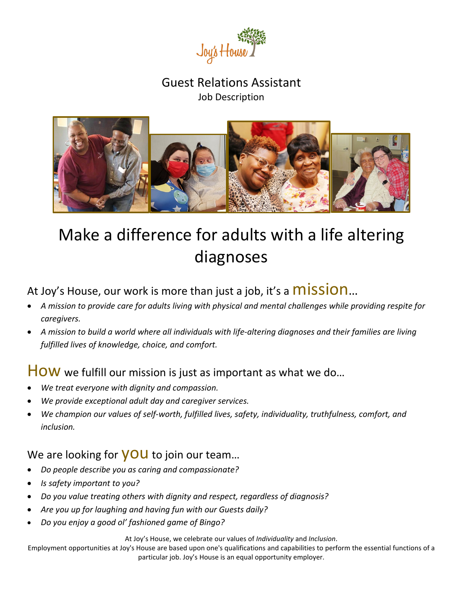

#### Guest Relations Assistant Job Description



# Make a difference for adults with a life altering diagnoses

## At Joy's House, our work is more than just a job, it's a **MISSION**...

- *A mission to provide care for adults living with physical and mental challenges while providing respite for caregivers.*
- *A mission to build a world where all individuals with life-altering diagnoses and their families are living fulfilled lives of knowledge, choice, and comfort.*

#### HOW we fulfill our mission is just as important as what we do...

- *We treat everyone with dignity and compassion.*
- *We provide exceptional adult day and caregiver services.*
- *We champion our values of self-worth, fulfilled lives, safety, individuality, truthfulness, comfort, and inclusion.*

#### We are looking for **YOU** to join our team...

- *Do people describe you as caring and compassionate?*
- *Is safety important to you?*
- *Do you value treating others with dignity and respect, regardless of diagnosis?*
- *Are you up for laughing and having fun with our Guests daily?*
- *Do you enjoy a good ol' fashioned game of Bingo?*

At Joy's House, we celebrate our values of *Individuality* and *Inclusion*.

Employment opportunities at Joy's House are based upon one's qualifications and capabilities to perform the essential functions of a particular job. Joy's House is an equal opportunity employer.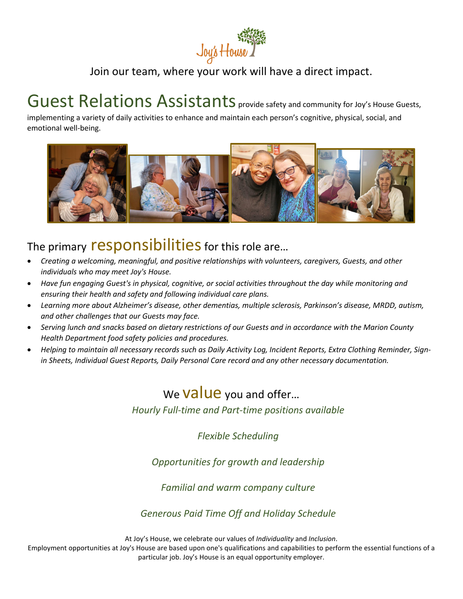

#### Join our team, where your work will have a direct impact.

## Guest Relations Assistants provide safety and community for Joy's House Guests,

implementing a variety of daily activities to enhance and maintain each person's cognitive, physical, social, and emotional well-being.



## The primary responsibilities for this role are...

- *Creating a welcoming, meaningful, and positive relationships with volunteers, caregivers, Guests, and other individuals who may meet Joy's House.*
- *Have fun engaging Guest's in physical, cognitive, or social activities throughout the day while monitoring and ensuring their health and safety and following individual care plans.*
- *Learning more about Alzheimer's disease, other dementias, multiple sclerosis, Parkinson's disease, MRDD, autism, and other challenges that our Guests may face.*
- *Serving lunch and snacks based on dietary restrictions of our Guests and in accordance with the Marion County Health Department food safety policies and procedures.*
- *Helping to maintain all necessary records such as Daily Activity Log, Incident Reports, Extra Clothing Reminder, Signin Sheets, Individual Guest Reports, Daily Personal Care record and any other necessary documentation.*

### We **Value** you and offer...

*Hourly Full-time and Part-time positions available*

*Flexible Scheduling*

*Opportunities for growth and leadership*

*Familial and warm company culture*

*Generous Paid Time Off and Holiday Schedule*

At Joy's House, we celebrate our values of *Individuality* and *Inclusion*.

Employment opportunities at Joy's House are based upon one's qualifications and capabilities to perform the essential functions of a particular job. Joy's House is an equal opportunity employer.